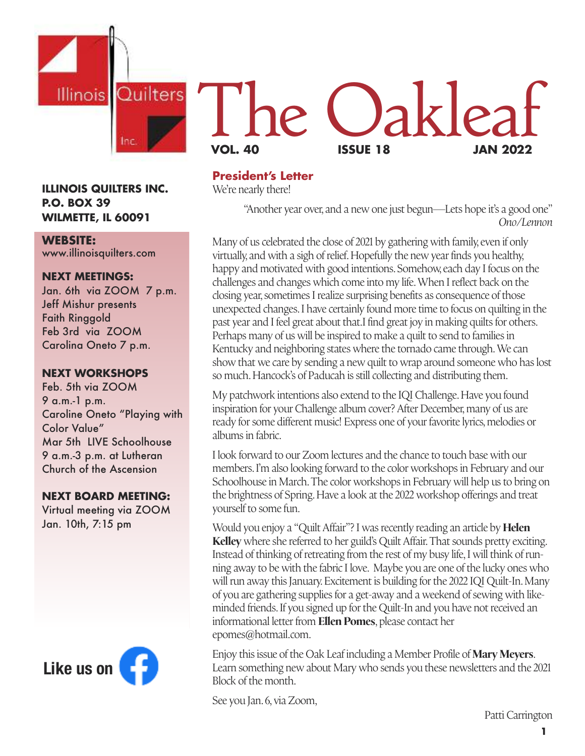

#### **ILLINOIS QUILTERS INC. P.O. BOX 39 WILMETTE, IL 60091**

#### **WEBSITE:**

www.illinoisquilters.com

#### **NEXT MEETINGS:**

Jan. 6th via ZOOM 7 p.m. Jeff Mishur presents Faith Ringgold Feb 3rd via ZOOM Carolina Oneto 7 p.m.

#### **NEXT WORKSHOPS**

Feb. 5th via ZOOM 9 a.m.-1 p.m. Caroline Oneto "Playing with Color Value" Mar 5th LIVE Schoolhouse 9 a.m.-3 p.m. at Lutheran Church of the Ascension

#### **NEXT BOARD MEETING:**

Virtual meeting via ZOOM Jan. 10th, 7:15 pm



## **President's Letter**

We're nearly there!

"Another year over, and a new one just begun—Lets hope it's a good one" *Ono/Lennon*

**VOL. 40 ISSUE 18 JAN 2022**

le Oaklea

Many of us celebrated the close of 2021 by gathering with family, even if only virtually, and with a sigh of relief.Hopefully the new year finds you healthy, happy and motivated with good intentions. Somehow,each day I focus on the challenges and changes which come into my life.When I reflect back on the closing year, sometimes I realize surprising benefits as consequence of those unexpected changes. I have certainly found more time to focus on quilting in the past year and I feel great about that.I find great joy in making quilts for others. Perhaps many of us will be inspired to make a quilt to send to families in Kentucky and neighboring states where the tornado came through.We can show that we care by sending a new quilt to wrap around someone who has lost so much.Hancock's of Paducah is still collecting and distributing them.

My patchwork intentions also extend to the IQI Challenge.Have you found inspiration for your Challenge album cover? After December, many of us are ready for some different music! Express one of your favorite lyrics, melodies or albums in fabric.

I look forward to our Zoom lectures and the chance to touch base with our members. I'm also looking forward to the color workshops in February and our Schoolhouse in March.The color workshops in February will help us to bring on the brightness of Spring. Have a look at the 2022 workshop offerings and treat yourself to some fun.

Would you enjoy a "Quilt Affair"? I was recently reading an article by **Helen Kelley** where she referred to her guild's Quilt Affair.That sounds pretty exciting. Instead of thinking of retreating from the rest of my busy life, I will think of running away to be with the fabric I love. Maybe you are one of the lucky ones who will run away this January. Excitement is building for the 2022 IQI Quilt-In.Many of you are gathering supplies for a get-away and a weekend of sewing with likeminded friends. If you signed up for the Quilt-In and you have not received an informational letter from **Ellen Pomes**, please contact her epomes@hotmail.com.

Enjoy this issue of the Oak Leaf including a Member Profile of **Mary Meyers**. Learn something new about Mary who sends you these newsletters and the 2021 Block of the month.

See you Jan. 6, via Zoom,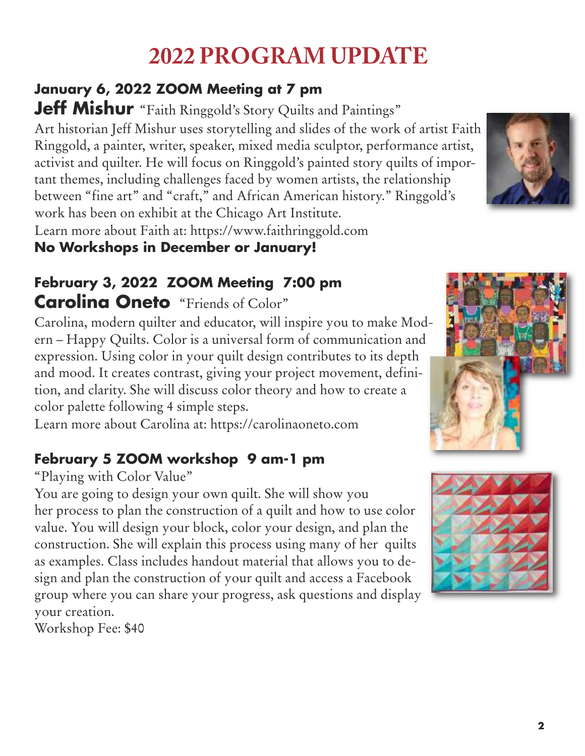# **2022 PROGRAM UPDATE**

# **January 6, 2022 ZOOM Meeting at 7 pm**

**Jeff Mishur** "Faith Ringgold's Story Quilts and Paintings" Art historian Jeff Mishur uses storytelling and slides of the work of artist Faith Ringgold, a painter, writer, speaker, mixed media sculptor, performance artist, activist and quilter. He will focus on Ringgold's painted story quilts of important themes, including challenges faced by women artists, the relationship between "fine art" and "craft," and African American history." Ringgold's work has been on exhibit at the Chicago Art Institute. Learn more about Faith at: https://www.faithringgold.com

## **No Workshops in December or January!**

# **February 3, 2022 ZOOM Meeting 7:00 pm Carolina Oneto** "Friends of Color"

Carolina, modern quilter and educator, will inspire you to make Modern – Happy Quilts. Color is a universal form of communication and expression. Using color in your quilt design contributes to its depth and mood. It creates contrast, giving your project movement, definition, and clarity. She will discuss color theory and how to create a color palette following 4 simple steps.

Learn more about Carolina at: https://carolinaoneto.com

# **February 5 ZOOM workshop 9 am-1 pm**

## "Playing with Color Value"

You are going to design your own quilt. She will show you her process to plan the construction of a quilt and how to use color value. You will design your block, color your design, and plan the construction. She will explain this process using many of her quilts as examples. Class includes handout material that allows you to design and plan the construction of your quilt and access a Facebook group where you can share your progress, ask questions and display your creation.

Workshop Fee: \$40



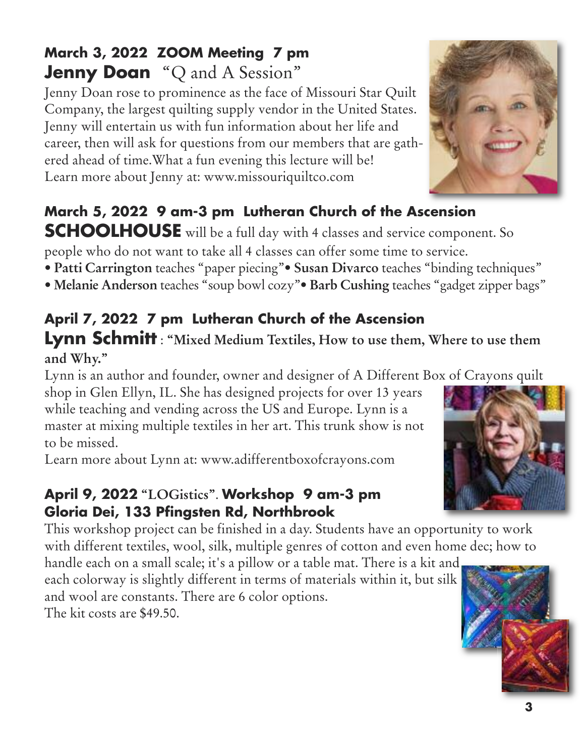# **March 3, 2022 ZOOM Meeting 7 pm Jenny Doan** "Q and A Session "

Jenny Doan rose to prominence as the face of Missouri Star Quilt Company, the largest quilting supply vendor in the United States. Jenny will entertain us with fun information about her life and career, then will ask for questions from our members that are gathered ahead of time.What a fun evening this lecture will be! Learn more about Jenny at: www.missouriquiltco.com

# **March 5, 2022 9 am-3 pm Lutheran Church of the Ascension**

**SCHOOLHOUSE** will be a full day with 4 classes and service component. So people who do not want to take all 4 classes can offer some time to service.

- **Patti Carrington** teaches "paper piecing"• **Susan Divarco** teaches "binding techniques"
- **Melanie Anderson** teaches "soup bowl cozy"• **Barb Cushing** teaches "gadget zipper bags"

# **April 7, 2022 7 pm Lutheran Church of the Ascension**

## **Lynn Schmitt** : **"Mixed Medium Textiles, How to use them, Where to use them and Why."**

Lynn is an author and founder, owner and designer of A Different Box of Crayons quilt

shop in Glen Ellyn, IL. She has designed projects for over 13 years while teaching and vending across the US and Europe. Lynn is a master at mixing multiple textiles in her art. This trunk show is not to be missed.

Learn more about Lynn at: www.adifferentboxofcrayons.com

### **April 9, 2022 "LOGistics"**. **Workshop 9 am-3 pm Gloria Dei, 133 Pfingsten Rd, Northbrook**

This workshop project can be finished in a day. Students have an opportunity to work with different textiles, wool, silk, multiple genres of cotton and even home dec; how to

handle each on a small scale; it's a pillow or a table mat. There is a kit and each colorway is slightly different in terms of materials within it, but silk and wool are constants. There are 6 color options. The kit costs are \$49.50.





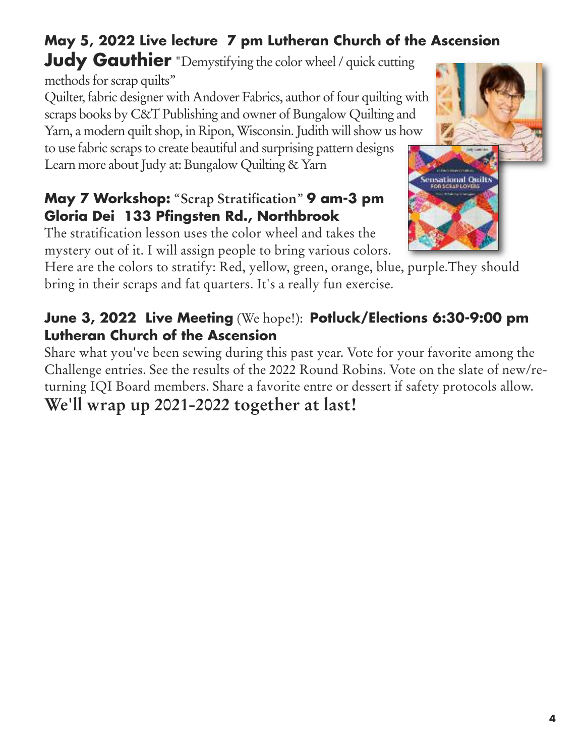# **May 5, 2022 Live lecture 7 pm Lutheran Church of the Ascension**

**Judy Gauthier** "Demystifying the color wheel/ quick cutting

methods for scrap quilts"

Quilter, fabric designer with Andover Fabrics, author of four quilting with scraps books by C&T Publishing and owner of Bungalow Quilting and Yarn, a modern quilt shop, in Ripon, Wisconsin. Judith will show us how to use fabric scraps to create beautiful and surprising pattern designs Learn more about Judy at: Bungalow Quilting & Yarn

## **May 7 Workshop:** "**Scrap Stratification**" **9 am-3 pm Gloria Dei 133 Pfingsten Rd., Northbrook**

The stratification lesson uses the color wheel and takes the mystery out of it. I will assign people to bring various colors.

Here are the colors to stratify: Red, yellow, green, orange, blue, purple.They should bring in their scraps and fat quarters. It's a really fun exercise.

## **June 3, 2022 Live Meeting** (We hope!): **Potluck/Elections 6:30-9:00 pm Lutheran Church of the Ascension**

Share what you've been sewing during this past year. Vote for your favorite among the Challenge entries. See the results of the 2022 Round Robins. Vote on the slate of new/returning IQI Board members. Share a favorite entre or dessert if safety protocols allow.

# **We'll wrap up 2021-2022 together at last!**

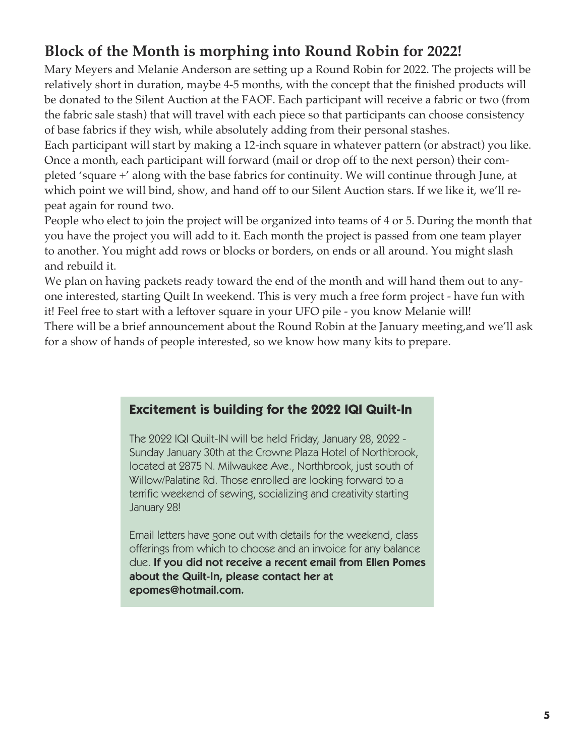# **Block of the Month is morphing into Round Robin for 2022!**

Mary Meyers and Melanie Anderson are setting up a Round Robin for 2022. The projects will be relatively short in duration, maybe 4-5 months, with the concept that the finished products will be donated to the Silent Auction at the FAOF. Each participant will receive a fabric or two (from the fabric sale stash) that will travel with each piece so that participants can choose consistency of base fabrics if they wish, while absolutely adding from their personal stashes.

Each participant will start by making a 12-inch square in whatever pattern (or abstract) you like. Once a month, each participant will forward (mail or drop off to the next person) their completed 'square +' along with the base fabrics for continuity. We will continue through June, at which point we will bind, show, and hand off to our Silent Auction stars. If we like it, we'll repeat again for round two.

People who elect to join the project will be organized into teams of 4 or 5. During the month that you have the project you will add to it. Each month the project is passed from one team player to another. You might add rows or blocks or borders, on ends or all around. You might slash and rebuild it.

We plan on having packets ready toward the end of the month and will hand them out to anyone interested, starting Quilt In weekend. This is very much a free form project - have fun with it! Feel free to start with a leftover square in your UFO pile - you know Melanie will!

There will be a brief announcement about the Round Robin at the January meeting,and we'll ask for a show of hands of people interested, so we know how many kits to prepare.

#### **Excitement is building for the 2022 IQI Quilt-In**

The 2022 IQI Quilt-IN will be held Friday, January 28, 2022 - Sunday January 30th at the Crowne Plaza Hotel of Northbrook, located at 2875 N. Milwaukee Ave., Northbrook, just south of Willow/Palatine Rd. Those enrolled are looking forward to a terrific weekend of sewing, socializing and creativity starting January 28!

Email letters have gone out with details for the weekend, class offerings from which to choose and an invoice for any balance due. **If you did not receive a recent email from Ellen Pomes about the Quilt-In, please contact her at epomes@hotmail.com.**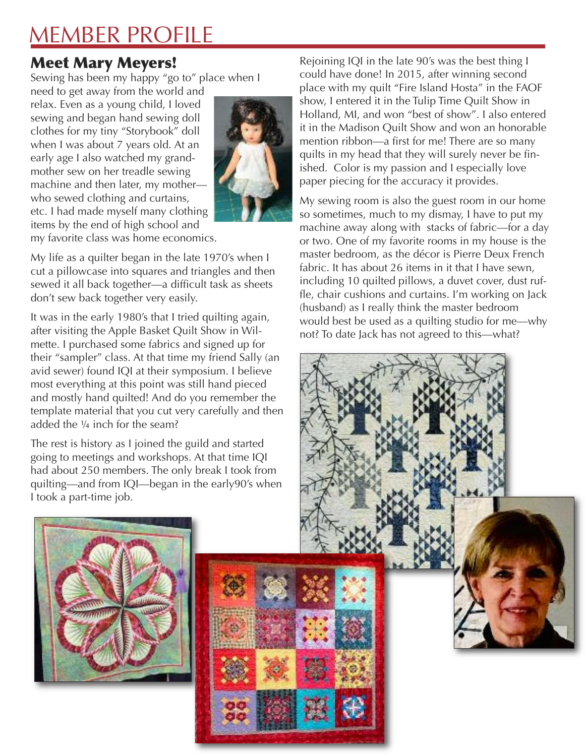# MEMBER PROFILE

# Meet Mary Meyers!

Sewing has been my happy "go to" place when I

need to get away from the world and relax. Even as a young child, I loved sewing and began hand sewing doll clothes for my tiny "Storybook" doll when I was about 7 years old. At an early age I also watched my grandmother sew on her treadle sewing machine and then later, my mother who sewed clothing and curtains, etc. I had made myself many clothing items by the end of high school and



my favorite class was home economics.

My life as a quilter began in the late 1970's when I cut a pillowcase into squares and triangles and then sewed it all back together—a difficult task as sheets don't sew back together very easily.

It was in the early 1980's that I tried quilting again, after visiting the Apple Basket Quilt Show in Wilmette. I purchased some fabrics and signed up for their "sampler" class. At that time my friend Sally (an avid sewer) found IQI at their symposium. I believe most everything at this point was still hand pieced and mostly hand quilted! And do you remember the template material that you cut very carefully and then added the ¼ inch for the seam?

The rest is history as I joined the guild and started going to meetings and workshops. At that time IQI had about 250 members. The only break I took from quilting—and from IQI—began in the early90's when I took a part-time job.

Rejoining IQI in the late 90's was the best thing I could have done! In 2015, after winning second place with my quilt "Fire Island Hosta" in the FAOF show, I entered it in the Tulip Time Quilt Show in Holland, MI, and won "best of show". I also entered it in the Madison Quilt Show and won an honorable mention ribbon—a first for me! There are so many quilts in my head that they will surely never be finished. Color is my passion and I especially love paper piecing for the accuracy it provides.

My sewing room is also the guest room in our home so sometimes, much to my dismay, I have to put my machine away along with stacks of fabric—for a day or two. One of my favorite rooms in my house is the master bedroom, as the décor is Pierre Deux French fabric. It has about 26 items in it that I have sewn. including 10 quilted pillows, a duvet cover, dust ruffle, chair cushions and curtains. I'm working on Jack (husband) as I really think the master bedroom would best be used as a quilting studio for me—why not? To date Jack has not agreed to this—what?



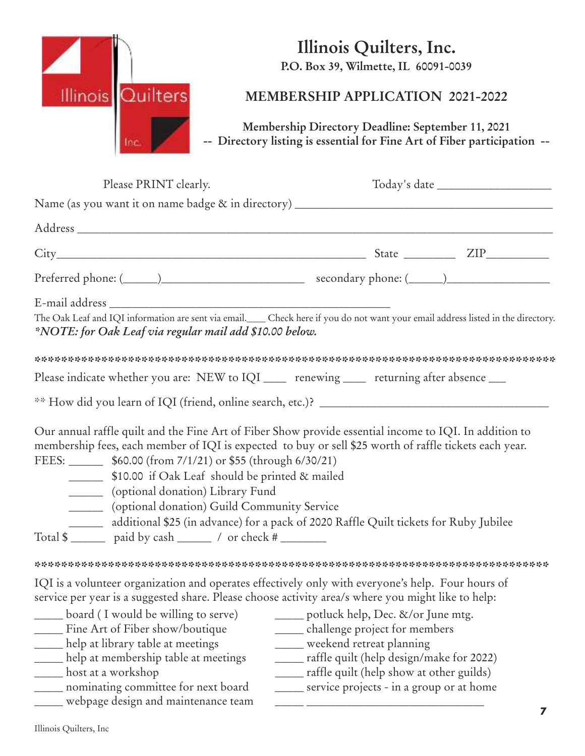

# **Illinois Quilters, Inc.**

**P.O. Box 39, Wilmette, IL 60091-0039**

#### **MEMBERSHIP APPLICATION 2021-2022**

**Membership Directory Deadline: September 11, 2021 -- Directory listing is essential for Fine Art of Fiber participation --**

| Please PRINT clearly.                                                                                                                                                                                                                                   |                                                                                                                                                                                                                                                                                                                                                                                                                                                              |
|---------------------------------------------------------------------------------------------------------------------------------------------------------------------------------------------------------------------------------------------------------|--------------------------------------------------------------------------------------------------------------------------------------------------------------------------------------------------------------------------------------------------------------------------------------------------------------------------------------------------------------------------------------------------------------------------------------------------------------|
|                                                                                                                                                                                                                                                         |                                                                                                                                                                                                                                                                                                                                                                                                                                                              |
|                                                                                                                                                                                                                                                         |                                                                                                                                                                                                                                                                                                                                                                                                                                                              |
|                                                                                                                                                                                                                                                         |                                                                                                                                                                                                                                                                                                                                                                                                                                                              |
|                                                                                                                                                                                                                                                         |                                                                                                                                                                                                                                                                                                                                                                                                                                                              |
| *NOTE: for Oak Leaf via regular mail add \$10.00 below.                                                                                                                                                                                                 | The Oak Leaf and IQI information are sent via email. Check here if you do not want your email address listed in the directory.                                                                                                                                                                                                                                                                                                                               |
|                                                                                                                                                                                                                                                         |                                                                                                                                                                                                                                                                                                                                                                                                                                                              |
|                                                                                                                                                                                                                                                         | Please indicate whether you are: NEW to IQI _____ renewing _____ returning after absence ___                                                                                                                                                                                                                                                                                                                                                                 |
|                                                                                                                                                                                                                                                         |                                                                                                                                                                                                                                                                                                                                                                                                                                                              |
| FEES: _________ \$60.00 (from 7/1/21) or \$55 (through 6/30/21)<br>_________ \$10.00 if Oak Leaf should be printed & mailed<br>_______ (optional donation) Library Fund<br>________ (optional donation) Guild Community Service                         | Our annual raffle quilt and the Fine Art of Fiber Show provide essential income to IQI. In addition to<br>membership fees, each member of IQI is expected to buy or sell \$25 worth of raffle tickets each year.<br>additional \$25 (in advance) for a pack of 2020 Raffle Quilt tickets for Ruby Jubilee                                                                                                                                                    |
|                                                                                                                                                                                                                                                         |                                                                                                                                                                                                                                                                                                                                                                                                                                                              |
| board (I would be willing to serve)<br>Fine Art of Fiber show/boutique<br>help at library table at meetings<br>help at membership table at meetings<br>host at a workshop<br>nominating committee for next board<br>webpage design and maintenance team | IQI is a volunteer organization and operates effectively only with everyone's help. Four hours of<br>service per year is a suggested share. Please choose activity area/s where you might like to help:<br>potluck help, Dec. &/or June mtg.<br>____ challenge project for members<br>weekend retreat planning<br>____ raffle quilt (help design/make for 2022)<br>____ raffle quilt (help show at other guilds)<br>service projects - in a group or at home |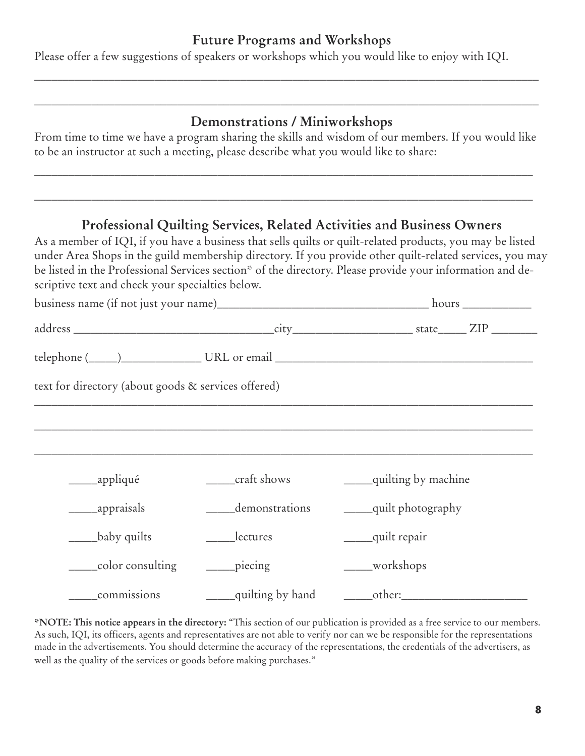#### **Future Programs and Workshops**

\_\_\_\_\_\_\_\_\_\_\_\_\_\_\_\_\_\_\_\_\_\_\_\_\_\_\_\_\_\_\_\_\_\_\_\_\_\_\_\_\_\_\_\_\_\_\_\_\_\_\_\_\_\_\_\_\_\_\_\_\_\_\_\_\_\_\_\_\_\_\_\_\_\_\_\_\_\_\_\_\_\_\_\_\_\_\_\_

\_\_\_\_\_\_\_\_\_\_\_\_\_\_\_\_\_\_\_\_\_\_\_\_\_\_\_\_\_\_\_\_\_\_\_\_\_\_\_\_\_\_\_\_\_\_\_\_\_\_\_\_\_\_\_\_\_\_\_\_\_\_\_\_\_\_\_\_\_\_\_\_\_\_\_\_\_\_\_\_\_\_\_\_\_\_\_\_

Please offer a few suggestions of speakers or workshops which you would like to enjoy with IQI.

### **Demonstrations / Miniworkshops**

From time to time we have a program sharing the skills and wisdom of our members. If you would like to be an instructor at such a meeting, please describe what you would like to share:

\_\_\_\_\_\_\_\_\_\_\_\_\_\_\_\_\_\_\_\_\_\_\_\_\_\_\_\_\_\_\_\_\_\_\_\_\_\_\_\_\_\_\_\_\_\_\_\_\_\_\_\_\_\_\_\_\_\_\_\_\_\_\_\_\_\_\_\_\_\_\_\_\_\_\_\_\_\_\_\_\_\_\_\_\_\_\_

\_\_\_\_\_\_\_\_\_\_\_\_\_\_\_\_\_\_\_\_\_\_\_\_\_\_\_\_\_\_\_\_\_\_\_\_\_\_\_\_\_\_\_\_\_\_\_\_\_\_\_\_\_\_\_\_\_\_\_\_\_\_\_\_\_\_\_\_\_\_\_\_\_\_\_\_\_\_\_\_\_\_\_\_\_\_\_

#### **Professional Quilting Services, Related Activities and Business Owners**

As a member of IQI, if you have a business that sells quilts or quilt-related products, you may be listed under Area Shops in the guild membership directory. If you provide other quilt-related services, you may be listed in the Professional Services section\* of the directory. Please provide your information and descriptive text and check your specialties below.

| text for directory (about goods & services offered) |                              |                         |
|-----------------------------------------------------|------------------------------|-------------------------|
|                                                     |                              |                         |
|                                                     |                              |                         |
| ______appliqué                                      | _____craft shows             | ____quilting by machine |
| ________appraisals                                  | demonstrations               | ____quilt photography   |
| baby quilts                                         | _____lectures                | quilt repair            |
| _____color consulting                               | $\rule{1em}{0.15mm}$ piecing | ____workshops           |
| commissions                                         | <u>equilting</u> by hand     | _______other:_______    |

**\*NOTE: This notice appears in the directory:** "This section of our publication is provided as a free service to our members. As such, IQI, its officers, agents and representatives are not able to verify nor can we be responsible for the representations made in the advertisements. You should determine the accuracy of the representations, the credentials of the advertisers, as well as the quality of the services or goods before making purchases."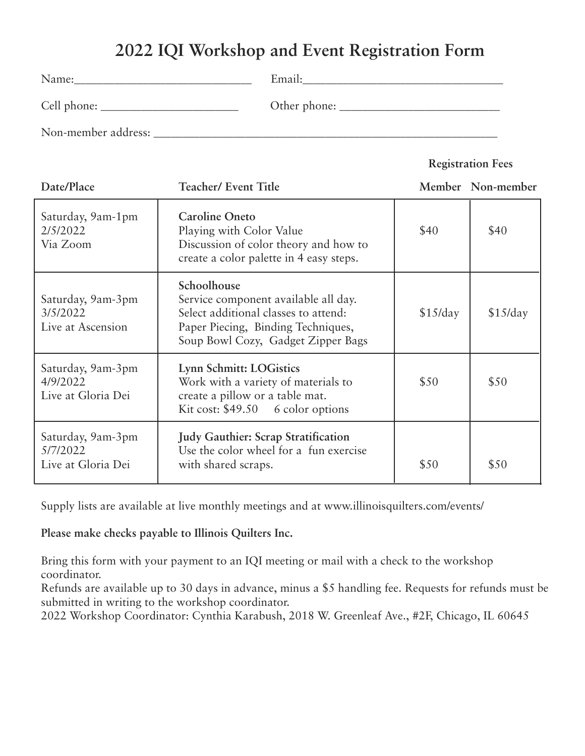# **2022 IQI Workshop and Event Registration Form**

| Name:               | Email:       |
|---------------------|--------------|
| Cell phone:         | Other phone: |
| Non-member address: |              |

#### **Registration Fees**

| Date/Place                                          | <b>Teacher/ Event Title</b>                                                                                                                                             |          | Member Non-member |
|-----------------------------------------------------|-------------------------------------------------------------------------------------------------------------------------------------------------------------------------|----------|-------------------|
| Saturday, 9am-1pm<br>2/5/2022<br>Via Zoom           | <b>Caroline Oneto</b><br>Playing with Color Value<br>Discussion of color theory and how to<br>create a color palette in 4 easy steps.                                   | \$40     | \$40              |
| Saturday, 9am-3pm<br>3/5/2022<br>Live at Ascension  | Schoolhouse<br>Service component available all day.<br>Select additional classes to attend:<br>Paper Piecing, Binding Techniques,<br>Soup Bowl Cozy, Gadget Zipper Bags | \$15/day | \$15/day          |
| Saturday, 9am-3pm<br>4/9/2022<br>Live at Gloria Dei | Lynn Schmitt: LOGistics<br>Work with a variety of materials to<br>create a pillow or a table mat.<br>Kit cost: $$49.50$ 6 color options                                 | \$50     | \$50              |
| Saturday, 9am-3pm<br>5/7/2022<br>Live at Gloria Dei | <b>Judy Gauthier: Scrap Stratification</b><br>Use the color wheel for a fun exercise<br>with shared scraps.                                                             | \$50     | \$50              |

Supply lists are available at live monthly meetings and at www.illinoisquilters.com/events/

**Please make checks payable to Illinois Quilters Inc.**

Bring this form with your payment to an IQI meeting or mail with a check to the workshop coordinator.

Refunds are available up to 30 days in advance, minus a \$5 handling fee. Requests for refunds must be submitted in writing to the workshop coordinator.

2022 Workshop Coordinator: Cynthia Karabush, 2018 W. Greenleaf Ave., #2F, Chicago, IL 60645